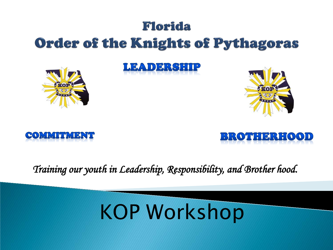### Florida **Order of the Knights of Pythagoras**

LEADERSHIP









*Training our youth in Leadership, Responsibility, and Brother hood.* 

# KOP Workshop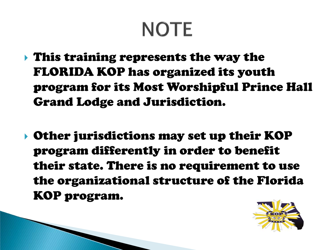## **NOTE**

- This training represents the way the FLORIDA KOP has organized its youth program for its Most Worshipful Prince Hall Grand Lodge and Jurisdiction.
- Other jurisdictions may set up their KOP program differently in order to benefit their state. There is no requirement to use the organizational structure of the Florida KOP program.

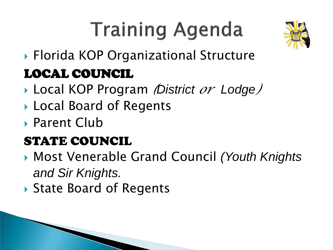# **Training Agenda**



## Florida KOP Organizational Structure LOCAL COUNCIL

- Local KOP Program *(District or Lodge)*
- ▶ Local Board of Regents
- ▶ Parent Club

### STATE COUNCIL

- Most Venerable Grand Council *(Youth Knights and Sir Knights.*
- ▶ State Board of Regents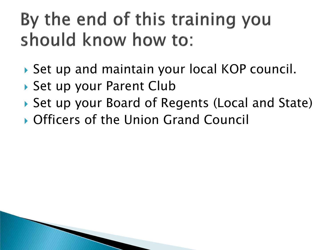## By the end of this training you should know how to:

- ▶ Set up and maintain your local KOP council.
- ▶ Set up your Parent Club
- ▶ Set up your Board of Regents (Local and State)
- Officers of the Union Grand Council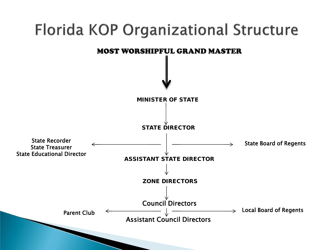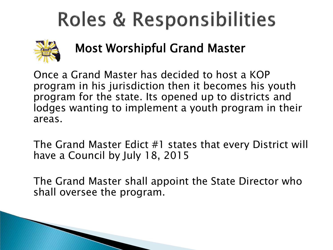

Most Worshipful Grand Master

 Once a Grand Master has decided to host a KOP program in his jurisdiction then it becomes his youth program for the state. Its opened up to districts and lodges wanting to implement a youth program in their areas.

 The Grand Master Edict #1 states that every District will have a Council by July 18, 2015

 The Grand Master shall appoint the State Director who shall oversee the program.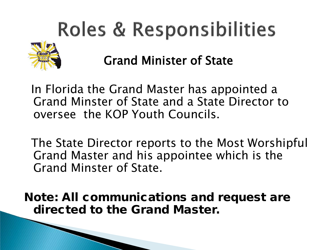

Grand Minister of State

 In Florida the Grand Master has appointed a Grand Minster of State and a State Director to oversee the KOP Youth Councils.

 The State Director reports to the Most Worshipful Grand Master and his appointee which is the Grand Minster of State.

Note: All communications and request are directed to the Grand Master.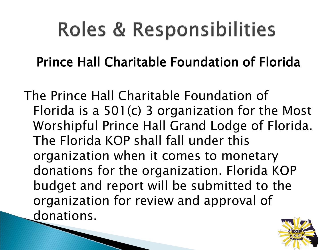Prince Hall Charitable Foundation of Florida

The Prince Hall Charitable Foundation of Florida is a 501(c) 3 organization for the Most Worshipful Prince Hall Grand Lodge of Florida. The Florida KOP shall fall under this organization when it comes to monetary donations for the organization. Florida KOP budget and report will be submitted to the organization for review and approval of donations.

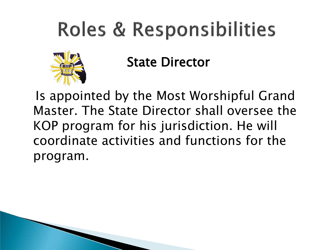

State Director

 Is appointed by the Most Worshipful Grand Master. The State Director shall oversee the KOP program for his jurisdiction. He will coordinate activities and functions for the program.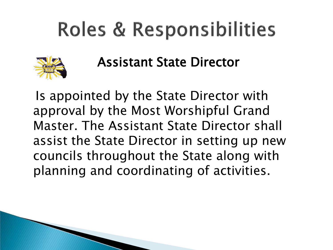

Assistant State Director

 Is appointed by the State Director with approval by the Most Worshipful Grand Master. The Assistant State Director shall assist the State Director in setting up new councils throughout the State along with planning and coordinating of activities.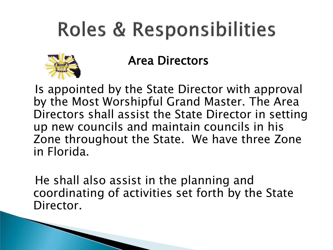

#### Area Directors

 Is appointed by the State Director with approval by the Most Worshipful Grand Master. The Area Directors shall assist the State Director in setting up new councils and maintain councils in his Zone throughout the State. We have three Zone in Florida.

 He shall also assist in the planning and coordinating of activities set forth by the State Director.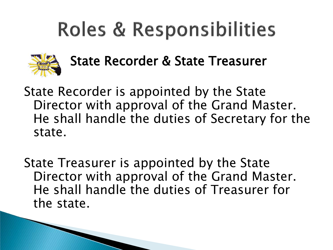

### State Recorder & State Treasurer

State Recorder is appointed by the State Director with approval of the Grand Master. He shall handle the duties of Secretary for the state.

State Treasurer is appointed by the State Director with approval of the Grand Master. He shall handle the duties of Treasurer for the state.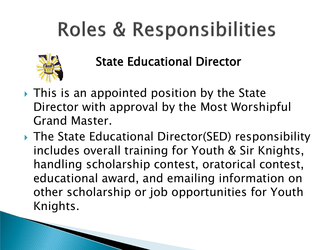

State Educational Director

- $\rightarrow$  This is an appointed position by the State Director with approval by the Most Worshipful Grand Master.
- ▶ The State Educational Director(SED) responsibility includes overall training for Youth & Sir Knights, handling scholarship contest, oratorical contest, educational award, and emailing information on other scholarship or job opportunities for Youth Knights.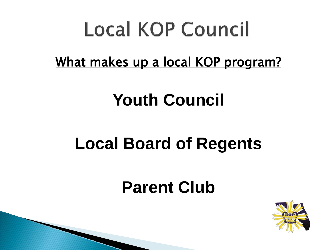What makes up a local KOP program?

## **Youth Council**

## **Local Board of Regents**

## **Parent Club**

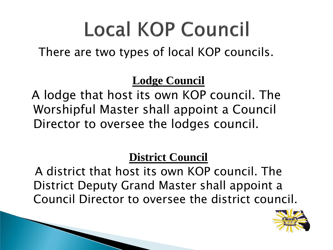There are two types of local KOP councils.

#### **Lodge Council**

 A lodge that host its own KOP council. The Worshipful Master shall appoint a Council Director to oversee the lodges council.

#### **District Council**

 A district that host its own KOP council. The District Deputy Grand Master shall appoint a Council Director to oversee the district council.

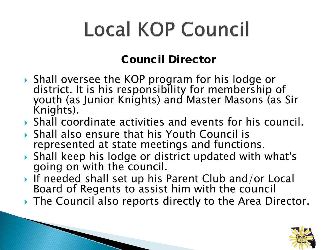#### Council Director

- ▶ Shall oversee the KOP program for his lodge or district. It is his responsibility for membership of youth (as Junior Knights) and Master Masons (as Sir Knights).
- Shall coordinate activities and events for his council.
- Shall also ensure that his Youth Council is represented at state meetings and functions.

and the contract of the contract of

- Shall keep his lodge or district updated with what's going on with the council.
- If needed shall set up his Parent Club and/or Local Board of Regents to assist him with the council
- ▶ The Council also reports directly to the Area Director.

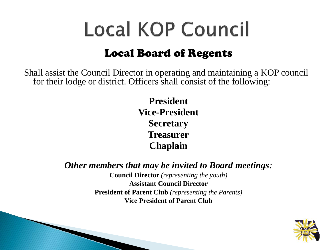#### Local Board of Regents

Shall assist the Council Director in operating and maintaining a KOP council for their lodge or district. Officers shall consist of the following:

> **President Vice-President Secretary Treasurer Chaplain**

*Other members that may be invited to Board meetings:*

**Council Director** *(representing the youth)* **Assistant Council Director President of Parent Club** *(representing the Parents)* **Vice President of Parent Club**

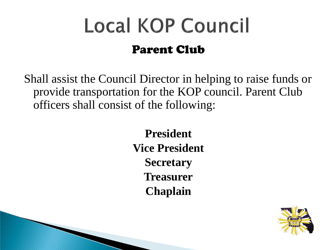## **Local KOP Council** Parent Club

Shall assist the Council Director in helping to raise funds or provide transportation for the KOP council. Parent Club officers shall consist of the following:

> **President Vice President Secretary Treasurer Chaplain**

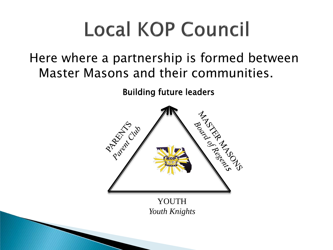### Here where a partnership is formed between Master Masons and their communities.

Building future leaders



YOUTH *Youth Knights*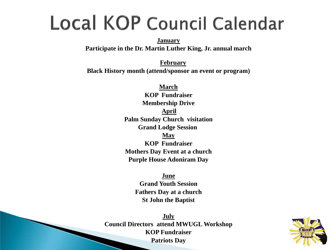## Local KOP Council Calendar

**January**

**Participate in the Dr. Martin Luther King, Jr. annual march**

**February Black History month (attend/sponsor an event or program)**

> **March KOP Fundraiser Membership Drive April Palm Sunday Church visitation Grand Lodge Session May KOP Fundraiser Mothers Day Event at a church Purple House Adoniram Day**

> > **June Grand Youth Session Fathers Day at a church St John the Baptist**

**July Council Directors attend MWUGL Workshop KOP Fundraiser Patriots Day**